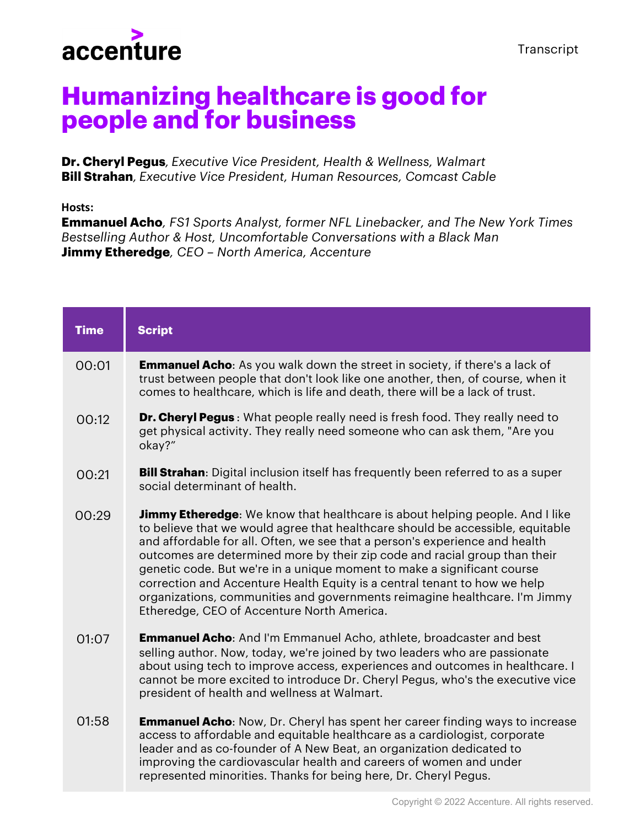

## **Humanizing healthcare is good for people and for business**

**Dr. Cheryl Pegus***, Executive Vice President, Health & Wellness, Walmart* **Bill Strahan***, Executive Vice President, Human Resources, Comcast Cable*

**Hosts:**

**Emmanuel Acho***, FS1 Sports Analyst, former NFL Linebacker, and The New York Times Bestselling Author & Host, Uncomfortable Conversations with a Black Man* **Jimmy Etheredge***, CEO – North America, Accenture*

| <b>Time</b> | <b>Script</b>                                                                                                                                                                                                                                                                                                                                                                                                                                                                                                                                                                                                          |
|-------------|------------------------------------------------------------------------------------------------------------------------------------------------------------------------------------------------------------------------------------------------------------------------------------------------------------------------------------------------------------------------------------------------------------------------------------------------------------------------------------------------------------------------------------------------------------------------------------------------------------------------|
| 00:01       | <b>Emmanuel Acho:</b> As you walk down the street in society, if there's a lack of<br>trust between people that don't look like one another, then, of course, when it<br>comes to healthcare, which is life and death, there will be a lack of trust.                                                                                                                                                                                                                                                                                                                                                                  |
| 00:12       | <b>Dr. Cheryl Pegus</b> : What people really need is fresh food. They really need to<br>get physical activity. They really need someone who can ask them, "Are you<br>okay?"                                                                                                                                                                                                                                                                                                                                                                                                                                           |
| 00:21       | <b>Bill Strahan:</b> Digital inclusion itself has frequently been referred to as a super<br>social determinant of health.                                                                                                                                                                                                                                                                                                                                                                                                                                                                                              |
| 00:29       | <b>Jimmy Etheredge:</b> We know that healthcare is about helping people. And I like<br>to believe that we would agree that healthcare should be accessible, equitable<br>and affordable for all. Often, we see that a person's experience and health<br>outcomes are determined more by their zip code and racial group than their<br>genetic code. But we're in a unique moment to make a significant course<br>correction and Accenture Health Equity is a central tenant to how we help<br>organizations, communities and governments reimagine healthcare. I'm Jimmy<br>Etheredge, CEO of Accenture North America. |
| 01:07       | <b>Emmanuel Acho:</b> And I'm Emmanuel Acho, athlete, broadcaster and best<br>selling author. Now, today, we're joined by two leaders who are passionate<br>about using tech to improve access, experiences and outcomes in healthcare. I<br>cannot be more excited to introduce Dr. Cheryl Pegus, who's the executive vice<br>president of health and wellness at Walmart.                                                                                                                                                                                                                                            |
| 01:58       | <b>Emmanuel Acho:</b> Now, Dr. Cheryl has spent her career finding ways to increase<br>access to affordable and equitable healthcare as a cardiologist, corporate<br>leader and as co-founder of A New Beat, an organization dedicated to<br>improving the cardiovascular health and careers of women and under<br>represented minorities. Thanks for being here, Dr. Cheryl Pegus.                                                                                                                                                                                                                                    |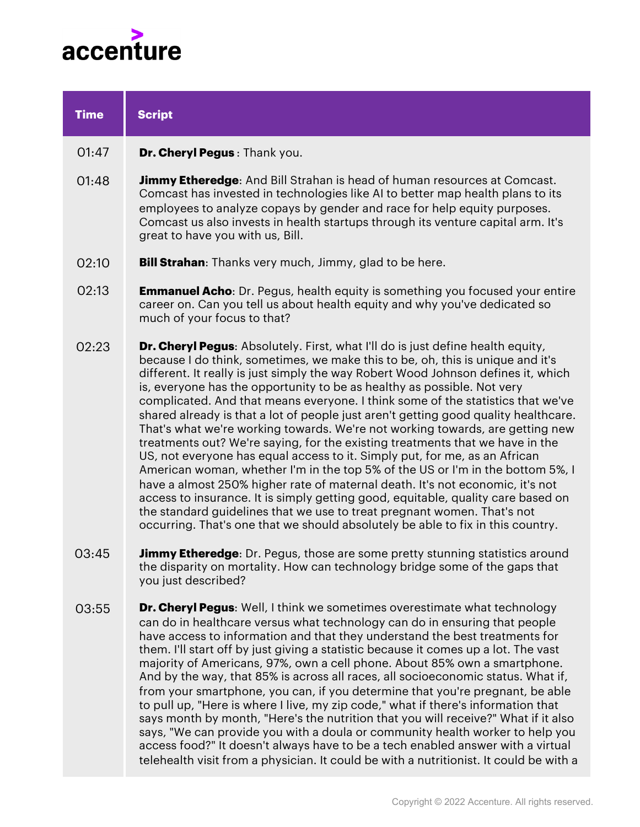

| <b>Time</b> | <b>Script</b>                                                                                                                                                                                                                                                                                                                                                                                                                                                                                                                                                                                                                                                                                                                                                                                                                                                                                                                                                                                                                                                                                                                                                                           |
|-------------|-----------------------------------------------------------------------------------------------------------------------------------------------------------------------------------------------------------------------------------------------------------------------------------------------------------------------------------------------------------------------------------------------------------------------------------------------------------------------------------------------------------------------------------------------------------------------------------------------------------------------------------------------------------------------------------------------------------------------------------------------------------------------------------------------------------------------------------------------------------------------------------------------------------------------------------------------------------------------------------------------------------------------------------------------------------------------------------------------------------------------------------------------------------------------------------------|
| 01:47       | Dr. Cheryl Pegus: Thank you.                                                                                                                                                                                                                                                                                                                                                                                                                                                                                                                                                                                                                                                                                                                                                                                                                                                                                                                                                                                                                                                                                                                                                            |
| 01:48       | <b>Jimmy Etheredge:</b> And Bill Strahan is head of human resources at Comcast.<br>Comcast has invested in technologies like AI to better map health plans to its<br>employees to analyze copays by gender and race for help equity purposes.<br>Comcast us also invests in health startups through its venture capital arm. It's<br>great to have you with us, Bill.                                                                                                                                                                                                                                                                                                                                                                                                                                                                                                                                                                                                                                                                                                                                                                                                                   |
| 02:10       | <b>Bill Strahan:</b> Thanks very much, Jimmy, glad to be here.                                                                                                                                                                                                                                                                                                                                                                                                                                                                                                                                                                                                                                                                                                                                                                                                                                                                                                                                                                                                                                                                                                                          |
| 02:13       | <b>Emmanuel Acho:</b> Dr. Pegus, health equity is something you focused your entire<br>career on. Can you tell us about health equity and why you've dedicated so<br>much of your focus to that?                                                                                                                                                                                                                                                                                                                                                                                                                                                                                                                                                                                                                                                                                                                                                                                                                                                                                                                                                                                        |
| 02:23       | <b>Dr. Cheryl Pegus:</b> Absolutely. First, what I'll do is just define health equity,<br>because I do think, sometimes, we make this to be, oh, this is unique and it's<br>different. It really is just simply the way Robert Wood Johnson defines it, which<br>is, everyone has the opportunity to be as healthy as possible. Not very<br>complicated. And that means everyone. I think some of the statistics that we've<br>shared already is that a lot of people just aren't getting good quality healthcare.<br>That's what we're working towards. We're not working towards, are getting new<br>treatments out? We're saying, for the existing treatments that we have in the<br>US, not everyone has equal access to it. Simply put, for me, as an African<br>American woman, whether I'm in the top 5% of the US or I'm in the bottom 5%, I<br>have a almost 250% higher rate of maternal death. It's not economic, it's not<br>access to insurance. It is simply getting good, equitable, quality care based on<br>the standard guidelines that we use to treat pregnant women. That's not<br>occurring. That's one that we should absolutely be able to fix in this country. |
| 03:45       | <b>Jimmy Etheredge:</b> Dr. Pegus, those are some pretty stunning statistics around<br>the disparity on mortality. How can technology bridge some of the gaps that<br>you just described?                                                                                                                                                                                                                                                                                                                                                                                                                                                                                                                                                                                                                                                                                                                                                                                                                                                                                                                                                                                               |
| 03:55       | <b>Dr. Cheryl Pegus:</b> Well, I think we sometimes overestimate what technology<br>can do in healthcare versus what technology can do in ensuring that people<br>have access to information and that they understand the best treatments for<br>them. I'll start off by just giving a statistic because it comes up a lot. The vast<br>majority of Americans, 97%, own a cell phone. About 85% own a smartphone.<br>And by the way, that 85% is across all races, all socioeconomic status. What if,<br>from your smartphone, you can, if you determine that you're pregnant, be able<br>to pull up, "Here is where I live, my zip code," what if there's information that<br>says month by month, "Here's the nutrition that you will receive?" What if it also<br>says, "We can provide you with a doula or community health worker to help you<br>access food?" It doesn't always have to be a tech enabled answer with a virtual<br>telehealth visit from a physician. It could be with a nutritionist. It could be with a                                                                                                                                                         |
|             |                                                                                                                                                                                                                                                                                                                                                                                                                                                                                                                                                                                                                                                                                                                                                                                                                                                                                                                                                                                                                                                                                                                                                                                         |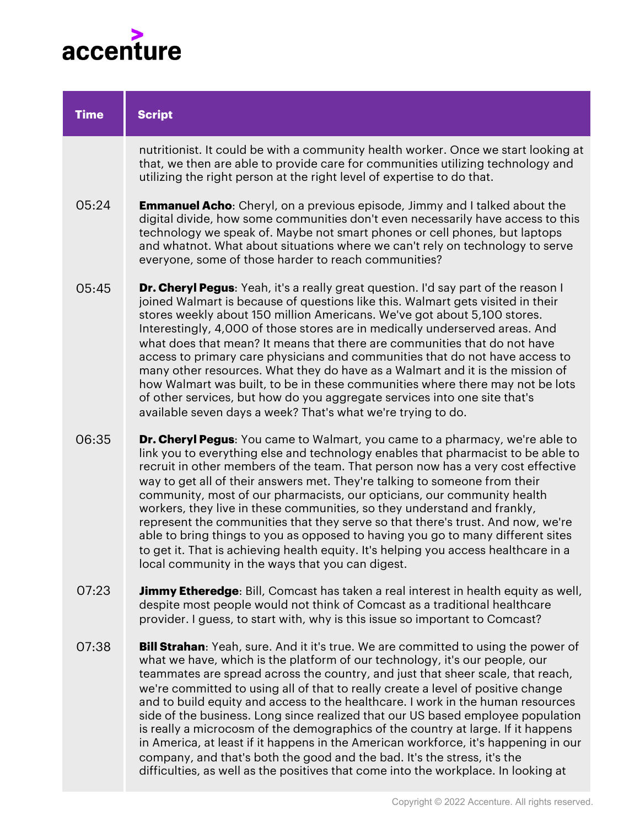

| <b>Time</b> | <b>Script</b>                                                                                                                                                                                                                                                                                                                                                                                                                                                                                                                                                                                                                                                                                                                                                                                                    |
|-------------|------------------------------------------------------------------------------------------------------------------------------------------------------------------------------------------------------------------------------------------------------------------------------------------------------------------------------------------------------------------------------------------------------------------------------------------------------------------------------------------------------------------------------------------------------------------------------------------------------------------------------------------------------------------------------------------------------------------------------------------------------------------------------------------------------------------|
|             | nutritionist. It could be with a community health worker. Once we start looking at<br>that, we then are able to provide care for communities utilizing technology and<br>utilizing the right person at the right level of expertise to do that.                                                                                                                                                                                                                                                                                                                                                                                                                                                                                                                                                                  |
| 05:24       | <b>Emmanuel Acho:</b> Cheryl, on a previous episode, Jimmy and I talked about the<br>digital divide, how some communities don't even necessarily have access to this<br>technology we speak of. Maybe not smart phones or cell phones, but laptops<br>and whatnot. What about situations where we can't rely on technology to serve<br>everyone, some of those harder to reach communities?                                                                                                                                                                                                                                                                                                                                                                                                                      |
| 05:45       | Dr. Cheryl Pegus: Yeah, it's a really great question. I'd say part of the reason I<br>joined Walmart is because of questions like this. Walmart gets visited in their<br>stores weekly about 150 million Americans. We've got about 5,100 stores.<br>Interestingly, 4,000 of those stores are in medically underserved areas. And<br>what does that mean? It means that there are communities that do not have<br>access to primary care physicians and communities that do not have access to<br>many other resources. What they do have as a Walmart and it is the mission of<br>how Walmart was built, to be in these communities where there may not be lots<br>of other services, but how do you aggregate services into one site that's<br>available seven days a week? That's what we're trying to do.    |
| 06:35       | <b>Dr. Cheryl Pegus:</b> You came to Walmart, you came to a pharmacy, we're able to<br>link you to everything else and technology enables that pharmacist to be able to<br>recruit in other members of the team. That person now has a very cost effective<br>way to get all of their answers met. They're talking to someone from their<br>community, most of our pharmacists, our opticians, our community health<br>workers, they live in these communities, so they understand and frankly,<br>represent the communities that they serve so that there's trust. And now, we're<br>able to bring things to you as opposed to having you go to many different sites<br>to get it. That is achieving health equity. It's helping you access healthcare in a<br>local community in the ways that you can digest. |
| 07:23       | <b>Jimmy Etheredge</b> : Bill, Comcast has taken a real interest in health equity as well,<br>despite most people would not think of Comcast as a traditional healthcare<br>provider. I guess, to start with, why is this issue so important to Comcast?                                                                                                                                                                                                                                                                                                                                                                                                                                                                                                                                                         |
| 07:38       | <b>Bill Strahan:</b> Yeah, sure. And it it's true. We are committed to using the power of<br>what we have, which is the platform of our technology, it's our people, our<br>teammates are spread across the country, and just that sheer scale, that reach,<br>we're committed to using all of that to really create a level of positive change<br>and to build equity and access to the healthcare. I work in the human resources<br>side of the business. Long since realized that our US based employee population<br>is really a microcosm of the demographics of the country at large. If it happens                                                                                                                                                                                                        |

in America, at least if it happens in the American workforce, it's happening in our company, and that's both the good and the bad. It's the stress, it's the difficulties, as well as the positives that come into the workplace. In looking at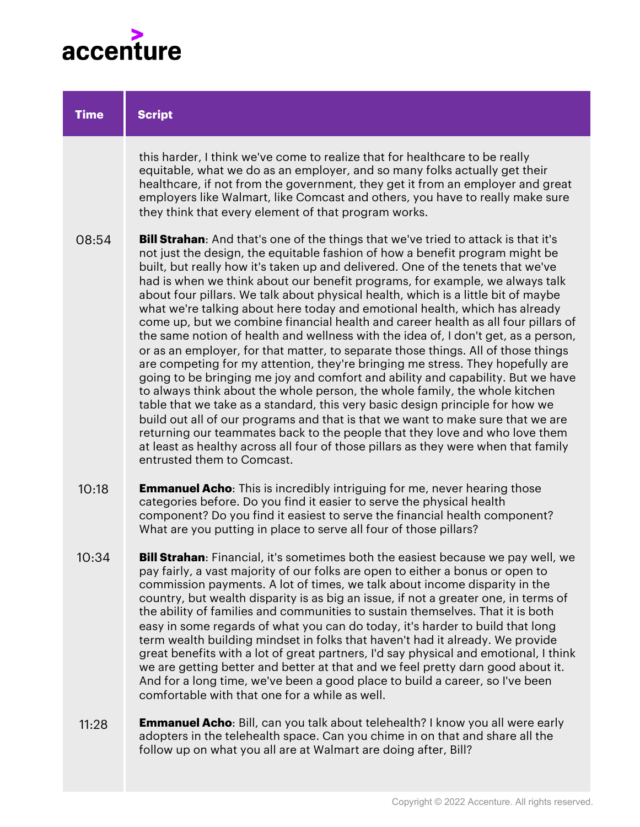

| <b>Time</b> | <b>Script</b>                                                                                                                                                                                                                                                                                                                                                                                                                                                                                                                                                                                                                                                                                                                                                                                                                                                                                                                                                                                                                                                                                                                                                                                                                                                                                                                                                                                               |
|-------------|-------------------------------------------------------------------------------------------------------------------------------------------------------------------------------------------------------------------------------------------------------------------------------------------------------------------------------------------------------------------------------------------------------------------------------------------------------------------------------------------------------------------------------------------------------------------------------------------------------------------------------------------------------------------------------------------------------------------------------------------------------------------------------------------------------------------------------------------------------------------------------------------------------------------------------------------------------------------------------------------------------------------------------------------------------------------------------------------------------------------------------------------------------------------------------------------------------------------------------------------------------------------------------------------------------------------------------------------------------------------------------------------------------------|
|             | this harder, I think we've come to realize that for healthcare to be really<br>equitable, what we do as an employer, and so many folks actually get their<br>healthcare, if not from the government, they get it from an employer and great<br>employers like Walmart, like Comcast and others, you have to really make sure<br>they think that every element of that program works.                                                                                                                                                                                                                                                                                                                                                                                                                                                                                                                                                                                                                                                                                                                                                                                                                                                                                                                                                                                                                        |
| 08:54       | <b>Bill Strahan:</b> And that's one of the things that we've tried to attack is that it's<br>not just the design, the equitable fashion of how a benefit program might be<br>built, but really how it's taken up and delivered. One of the tenets that we've<br>had is when we think about our benefit programs, for example, we always talk<br>about four pillars. We talk about physical health, which is a little bit of maybe<br>what we're talking about here today and emotional health, which has already<br>come up, but we combine financial health and career health as all four pillars of<br>the same notion of health and wellness with the idea of, I don't get, as a person,<br>or as an employer, for that matter, to separate those things. All of those things<br>are competing for my attention, they're bringing me stress. They hopefully are<br>going to be bringing me joy and comfort and ability and capability. But we have<br>to always think about the whole person, the whole family, the whole kitchen<br>table that we take as a standard, this very basic design principle for how we<br>build out all of our programs and that is that we want to make sure that we are<br>returning our teammates back to the people that they love and who love them<br>at least as healthy across all four of those pillars as they were when that family<br>entrusted them to Comcast. |
| 10:18       | <b>Emmanuel Acho:</b> This is incredibly intriguing for me, never hearing those<br>categories before. Do you find it easier to serve the physical health<br>component? Do you find it easiest to serve the financial health component?<br>What are you putting in place to serve all four of those pillars?                                                                                                                                                                                                                                                                                                                                                                                                                                                                                                                                                                                                                                                                                                                                                                                                                                                                                                                                                                                                                                                                                                 |
| 10:34       | <b>Bill Strahan</b> : Financial, it's sometimes both the easiest because we pay well, we<br>pay fairly, a vast majority of our folks are open to either a bonus or open to<br>commission payments. A lot of times, we talk about income disparity in the<br>country, but wealth disparity is as big an issue, if not a greater one, in terms of<br>the ability of families and communities to sustain themselves. That it is both<br>easy in some regards of what you can do today, it's harder to build that long<br>term wealth building mindset in folks that haven't had it already. We provide<br>great benefits with a lot of great partners, I'd say physical and emotional, I think<br>we are getting better and better at that and we feel pretty darn good about it.<br>And for a long time, we've been a good place to build a career, so I've been<br>comfortable with that one for a while as well.                                                                                                                                                                                                                                                                                                                                                                                                                                                                                            |
| 11:28       | Emmanuel Acho: Bill, can you talk about telehealth? I know you all were early<br>adopters in the telehealth space. Can you chime in on that and share all the<br>follow up on what you all are at Walmart are doing after, Bill?                                                                                                                                                                                                                                                                                                                                                                                                                                                                                                                                                                                                                                                                                                                                                                                                                                                                                                                                                                                                                                                                                                                                                                            |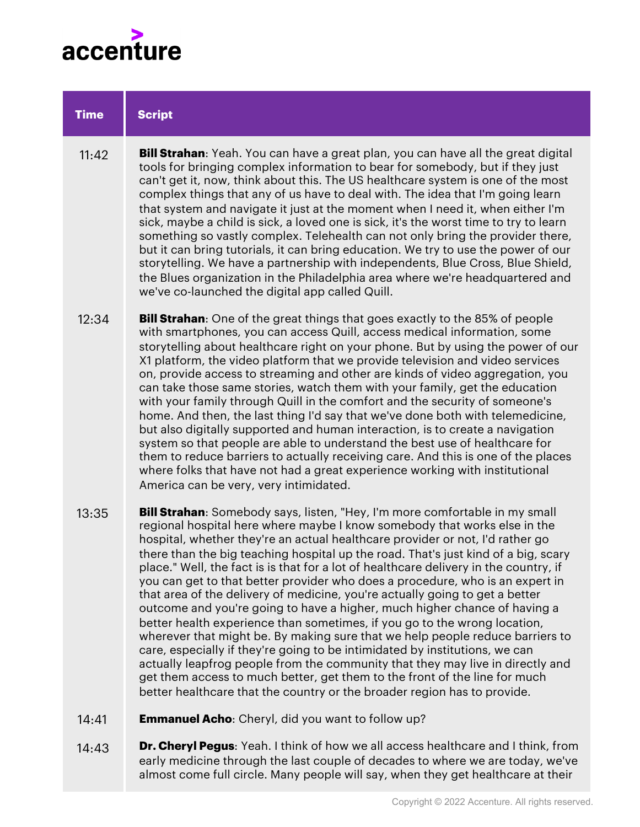

## **Bill Strahan**: Yeah. You can have a great plan, you can have all the great digital tools for bringing complex information to bear for somebody, but if they just can't get it, now, think about this. The US healthcare system is one of the most complex things that any of us have to deal with. The idea that I'm going learn that system and navigate it just at the moment when I need it, when either I'm sick, maybe a child is sick, a loved one is sick, it's the worst time to try to learn something so vastly complex. Telehealth can not only bring the provider there, but it can bring tutorials, it can bring education. We try to use the power of our storytelling. We have a partnership with independents, Blue Cross, Blue Shield, the Blues organization in the Philadelphia area where we're headquartered and we've co-launched the digital app called Quill. **Bill Strahan**: One of the great things that goes exactly to the 85% of people with smartphones, you can access Quill, access medical information, some storytelling about healthcare right on your phone. But by using the power of our X1 platform, the video platform that we provide television and video services on, provide access to streaming and other are kinds of video aggregation, you can take those same stories, watch them with your family, get the education with your family through Quill in the comfort and the security of someone's home. And then, the last thing I'd say that we've done both with telemedicine, but also digitally supported and human interaction, is to create a navigation system so that people are able to understand the best use of healthcare for them to reduce barriers to actually receiving care. And this is one of the places where folks that have not had a great experience working with institutional America can be very, very intimidated. **Script Time** 12:34  $11.42$

- **Bill Strahan**: Somebody says, listen, "Hey, I'm more comfortable in my small regional hospital here where maybe I know somebody that works else in the hospital, whether they're an actual healthcare provider or not, I'd rather go there than the big teaching hospital up the road. That's just kind of a big, scary place." Well, the fact is is that for a lot of healthcare delivery in the country, if you can get to that better provider who does a procedure, who is an expert in that area of the delivery of medicine, you're actually going to get a better outcome and you're going to have a higher, much higher chance of having a better health experience than sometimes, if you go to the wrong location, wherever that might be. By making sure that we help people reduce barriers to care, especially if they're going to be intimidated by institutions, we can actually leapfrog people from the community that they may live in directly and get them access to much better, get them to the front of the line for much better healthcare that the country or the broader region has to provide. 13:35
- **Emmanuel Acho**: Cheryl, did you want to follow up? 14:41
- **Dr. Cheryl Pegus**: Yeah. I think of how we all access healthcare and I think, from early medicine through the last couple of decades to where we are today, we've almost come full circle. Many people will say, when they get healthcare at their 14:43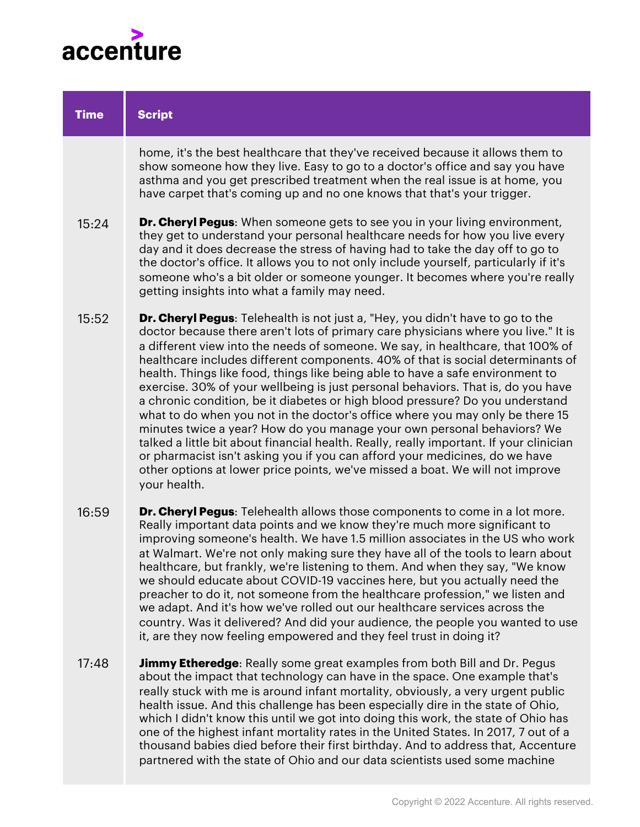

| <b>Time</b> | <b>Script</b>                                                                                                                                                                                                                                                                                                                                                                                                                                                                                                                                                                                                                                                                                                                                                                                                                                                                                                                                                                                                                                   |
|-------------|-------------------------------------------------------------------------------------------------------------------------------------------------------------------------------------------------------------------------------------------------------------------------------------------------------------------------------------------------------------------------------------------------------------------------------------------------------------------------------------------------------------------------------------------------------------------------------------------------------------------------------------------------------------------------------------------------------------------------------------------------------------------------------------------------------------------------------------------------------------------------------------------------------------------------------------------------------------------------------------------------------------------------------------------------|
|             | home, it's the best healthcare that they've received because it allows them to<br>show someone how they live. Easy to go to a doctor's office and say you have<br>asthma and you get prescribed treatment when the real issue is at home, you<br>have carpet that's coming up and no one knows that that's your trigger.                                                                                                                                                                                                                                                                                                                                                                                                                                                                                                                                                                                                                                                                                                                        |
| 15:24       | <b>Dr. Cheryl Pegus:</b> When someone gets to see you in your living environment,<br>they get to understand your personal healthcare needs for how you live every<br>day and it does decrease the stress of having had to take the day off to go to<br>the doctor's office. It allows you to not only include yourself, particularly if it's<br>someone who's a bit older or someone younger. It becomes where you're really<br>getting insights into what a family may need.                                                                                                                                                                                                                                                                                                                                                                                                                                                                                                                                                                   |
| 15:52       | <b>Dr. Cheryl Pegus:</b> Telehealth is not just a, "Hey, you didn't have to go to the<br>doctor because there aren't lots of primary care physicians where you live." It is<br>a different view into the needs of someone. We say, in healthcare, that 100% of<br>healthcare includes different components. 40% of that is social determinants of<br>health. Things like food, things like being able to have a safe environment to<br>exercise. 30% of your wellbeing is just personal behaviors. That is, do you have<br>a chronic condition, be it diabetes or high blood pressure? Do you understand<br>what to do when you not in the doctor's office where you may only be there 15<br>minutes twice a year? How do you manage your own personal behaviors? We<br>talked a little bit about financial health. Really, really important. If your clinician<br>or pharmacist isn't asking you if you can afford your medicines, do we have<br>other options at lower price points, we've missed a boat. We will not improve<br>your health. |
| 16:59       | Dr. Cheryl Pegus: Telehealth allows those components to come in a lot more.<br>Really important data points and we know they're much more significant to<br>improving someone's health. We have 1.5 million associates in the US who work<br>at Walmart. We're not only making sure they have all of the tools to learn about<br>healthcare, but frankly, we're listening to them. And when they say, "We know<br>we should educate about COVID-19 vaccines here, but you actually need the<br>preacher to do it, not someone from the healthcare profession." we listen and                                                                                                                                                                                                                                                                                                                                                                                                                                                                    |

- preacher to do it, not someone from the healthcare profession," we listen and we adapt. And it's how we've rolled out our healthcare services across the country. Was it delivered? And did your audience, the people you wanted to use it, are they now feeling empowered and they feel trust in doing it?
- **Jimmy Etheredge**: Really some great examples from both Bill and Dr. Pegus about the impact that technology can have in the space. One example that's really stuck with me is around infant mortality, obviously, a very urgent public health issue. And this challenge has been especially dire in the state of Ohio, which I didn't know this until we got into doing this work, the state of Ohio has one of the highest infant mortality rates in the United States. In 2017, 7 out of a thousand babies died before their first birthday. And to address that, Accenture partnered with the state of Ohio and our data scientists used some machine 17:48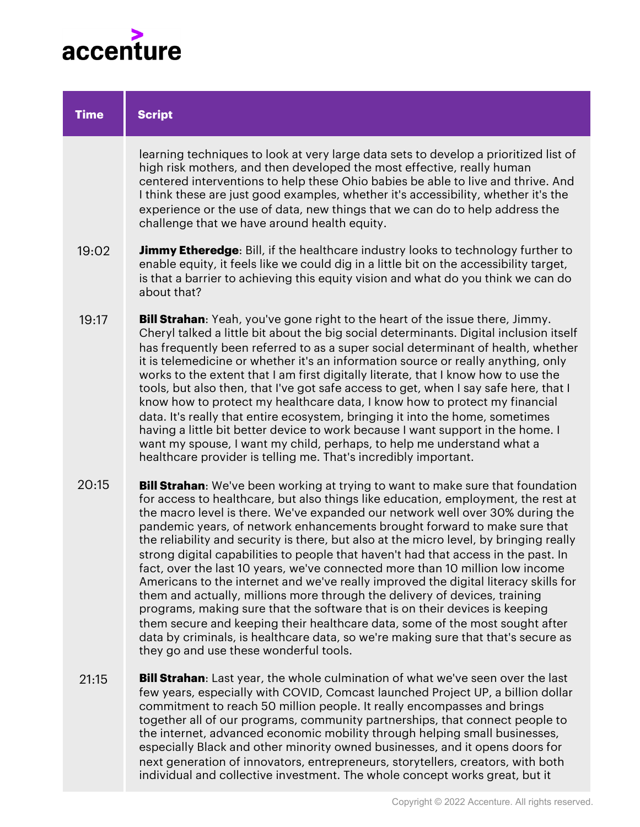

| <b>Time</b> | <b>Script</b>                                                                                                                                                                                                                                                                                                                                                                                                                                                                                                                                                                                                                                                                                                                                                                                                                                                                                                                                                                                                                                                                 |
|-------------|-------------------------------------------------------------------------------------------------------------------------------------------------------------------------------------------------------------------------------------------------------------------------------------------------------------------------------------------------------------------------------------------------------------------------------------------------------------------------------------------------------------------------------------------------------------------------------------------------------------------------------------------------------------------------------------------------------------------------------------------------------------------------------------------------------------------------------------------------------------------------------------------------------------------------------------------------------------------------------------------------------------------------------------------------------------------------------|
|             | learning techniques to look at very large data sets to develop a prioritized list of<br>high risk mothers, and then developed the most effective, really human<br>centered interventions to help these Ohio babies be able to live and thrive. And<br>I think these are just good examples, whether it's accessibility, whether it's the<br>experience or the use of data, new things that we can do to help address the<br>challenge that we have around health equity.                                                                                                                                                                                                                                                                                                                                                                                                                                                                                                                                                                                                      |
| 19:02       | <b>Jimmy Etheredge</b> : Bill, if the healthcare industry looks to technology further to<br>enable equity, it feels like we could dig in a little bit on the accessibility target,<br>is that a barrier to achieving this equity vision and what do you think we can do<br>about that?                                                                                                                                                                                                                                                                                                                                                                                                                                                                                                                                                                                                                                                                                                                                                                                        |
| 19:17       | <b>Bill Strahan:</b> Yeah, you've gone right to the heart of the issue there, Jimmy.<br>Cheryl talked a little bit about the big social determinants. Digital inclusion itself<br>has frequently been referred to as a super social determinant of health, whether<br>it is telemedicine or whether it's an information source or really anything, only<br>works to the extent that I am first digitally literate, that I know how to use the<br>tools, but also then, that I've got safe access to get, when I say safe here, that I<br>know how to protect my healthcare data, I know how to protect my financial<br>data. It's really that entire ecosystem, bringing it into the home, sometimes<br>having a little bit better device to work because I want support in the home. I<br>want my spouse, I want my child, perhaps, to help me understand what a<br>healthcare provider is telling me. That's incredibly important.                                                                                                                                          |
| 20:15       | <b>Bill Strahan:</b> We've been working at trying to want to make sure that foundation<br>for access to healthcare, but also things like education, employment, the rest at<br>the macro level is there. We've expanded our network well over 30% during the<br>pandemic years, of network enhancements brought forward to make sure that<br>the reliability and security is there, but also at the micro level, by bringing really<br>strong digital capabilities to people that haven't had that access in the past. In<br>fact, over the last 10 years, we've connected more than 10 million low income<br>Americans to the internet and we've really improved the digital literacy skills for<br>them and actually, millions more through the delivery of devices, training<br>programs, making sure that the software that is on their devices is keeping<br>them secure and keeping their healthcare data, some of the most sought after<br>data by criminals, is healthcare data, so we're making sure that that's secure as<br>they go and use these wonderful tools. |
| 21:15       | <b>Bill Strahan:</b> Last year, the whole culmination of what we've seen over the last<br>few years, especially with COVID, Comcast launched Project UP, a billion dollar<br>commitment to reach 50 million people. It really encompasses and brings<br>together all of our programs, community partnerships, that connect people to<br>the internet, advanced economic mobility through helping small businesses,<br>especially Black and other minority owned businesses, and it opens doors for<br>next generation of innovators, entrepreneurs, storytellers, creators, with both                                                                                                                                                                                                                                                                                                                                                                                                                                                                                         |

individual and collective investment. The whole concept works great, but it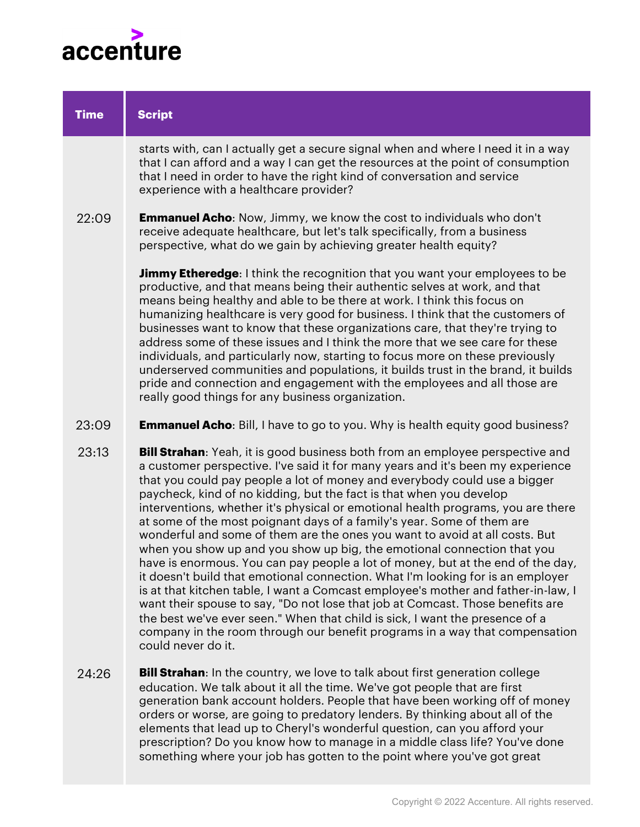

| <b>Time</b> | <b>Script</b>                                                                                                                                                                                                                                                                                                                                                                                                                                                                                                                                                                                                                                                                                                                                                                                                                                                                                                                                                                                                                                                                                                                                            |
|-------------|----------------------------------------------------------------------------------------------------------------------------------------------------------------------------------------------------------------------------------------------------------------------------------------------------------------------------------------------------------------------------------------------------------------------------------------------------------------------------------------------------------------------------------------------------------------------------------------------------------------------------------------------------------------------------------------------------------------------------------------------------------------------------------------------------------------------------------------------------------------------------------------------------------------------------------------------------------------------------------------------------------------------------------------------------------------------------------------------------------------------------------------------------------|
|             | starts with, can I actually get a secure signal when and where I need it in a way<br>that I can afford and a way I can get the resources at the point of consumption<br>that I need in order to have the right kind of conversation and service<br>experience with a healthcare provider?                                                                                                                                                                                                                                                                                                                                                                                                                                                                                                                                                                                                                                                                                                                                                                                                                                                                |
| 22:09       | <b>Emmanuel Acho:</b> Now, Jimmy, we know the cost to individuals who don't<br>receive adequate healthcare, but let's talk specifically, from a business<br>perspective, what do we gain by achieving greater health equity?                                                                                                                                                                                                                                                                                                                                                                                                                                                                                                                                                                                                                                                                                                                                                                                                                                                                                                                             |
|             | <b>Jimmy Etheredge</b> : I think the recognition that you want your employees to be<br>productive, and that means being their authentic selves at work, and that<br>means being healthy and able to be there at work. I think this focus on<br>humanizing healthcare is very good for business. I think that the customers of<br>businesses want to know that these organizations care, that they're trying to<br>address some of these issues and I think the more that we see care for these<br>individuals, and particularly now, starting to focus more on these previously<br>underserved communities and populations, it builds trust in the brand, it builds<br>pride and connection and engagement with the employees and all those are<br>really good things for any business organization.                                                                                                                                                                                                                                                                                                                                                     |
| 23:09       | <b>Emmanuel Acho:</b> Bill, I have to go to you. Why is health equity good business?                                                                                                                                                                                                                                                                                                                                                                                                                                                                                                                                                                                                                                                                                                                                                                                                                                                                                                                                                                                                                                                                     |
| 23:13       | Bill Strahan: Yeah, it is good business both from an employee perspective and<br>a customer perspective. I've said it for many years and it's been my experience<br>that you could pay people a lot of money and everybody could use a bigger<br>paycheck, kind of no kidding, but the fact is that when you develop<br>interventions, whether it's physical or emotional health programs, you are there<br>at some of the most poignant days of a family's year. Some of them are<br>wonderful and some of them are the ones you want to avoid at all costs. But<br>when you show up and you show up big, the emotional connection that you<br>have is enormous. You can pay people a lot of money, but at the end of the day,<br>it doesn't build that emotional connection. What I'm looking for is an employer<br>is at that kitchen table, I want a Comcast employee's mother and father-in-law, I<br>want their spouse to say, "Do not lose that job at Comcast. Those benefits are<br>the best we've ever seen." When that child is sick, I want the presence of a<br>company in the room through our benefit programs in a way that compensation |

**Bill Strahan**: In the country, we love to talk about first generation college education. We talk about it all the time. We've got people that are first generation bank account holders. People that have been working off of money orders or worse, are going to predatory lenders. By thinking about all of the elements that lead up to Cheryl's wonderful question, can you afford your prescription? Do you know how to manage in a middle class life? You've done something where your job has gotten to the point where you've got great 24:26

could never do it.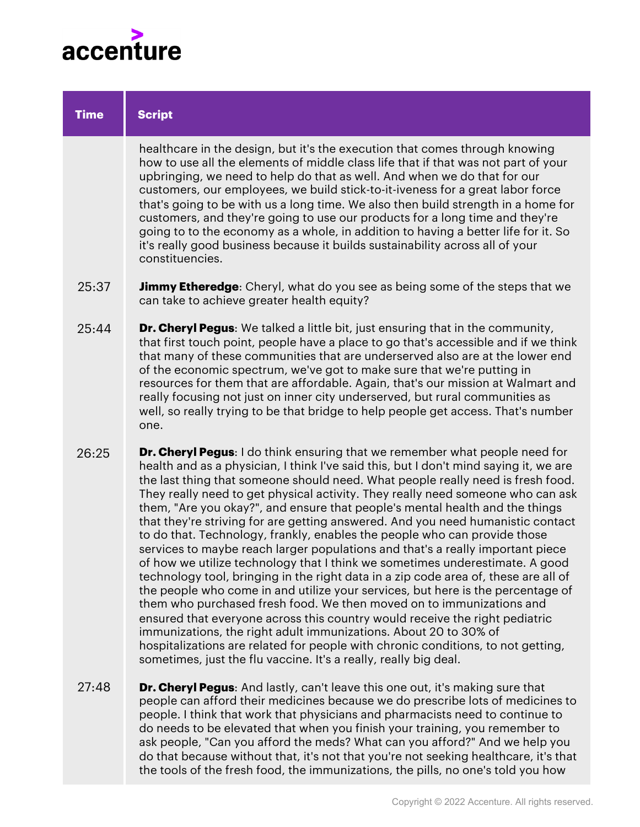

| <b>Time</b> | <b>Script</b>                                                                                                                                                                                                                                                                                                                                                                                                                                                                                                                                                                                                                                                                                                                                                                                                                                                                                                                                                                                                                                                                                                                                                                                                                                                                                                                    |
|-------------|----------------------------------------------------------------------------------------------------------------------------------------------------------------------------------------------------------------------------------------------------------------------------------------------------------------------------------------------------------------------------------------------------------------------------------------------------------------------------------------------------------------------------------------------------------------------------------------------------------------------------------------------------------------------------------------------------------------------------------------------------------------------------------------------------------------------------------------------------------------------------------------------------------------------------------------------------------------------------------------------------------------------------------------------------------------------------------------------------------------------------------------------------------------------------------------------------------------------------------------------------------------------------------------------------------------------------------|
|             | healthcare in the design, but it's the execution that comes through knowing<br>how to use all the elements of middle class life that if that was not part of your<br>upbringing, we need to help do that as well. And when we do that for our<br>customers, our employees, we build stick-to-it-iveness for a great labor force<br>that's going to be with us a long time. We also then build strength in a home for<br>customers, and they're going to use our products for a long time and they're<br>going to to the economy as a whole, in addition to having a better life for it. So<br>it's really good business because it builds sustainability across all of your<br>constituencies.                                                                                                                                                                                                                                                                                                                                                                                                                                                                                                                                                                                                                                   |
| 25:37       | <b>Jimmy Etheredge</b> : Cheryl, what do you see as being some of the steps that we<br>can take to achieve greater health equity?                                                                                                                                                                                                                                                                                                                                                                                                                                                                                                                                                                                                                                                                                                                                                                                                                                                                                                                                                                                                                                                                                                                                                                                                |
| 25:44       | <b>Dr. Cheryl Pegus:</b> We talked a little bit, just ensuring that in the community,<br>that first touch point, people have a place to go that's accessible and if we think<br>that many of these communities that are underserved also are at the lower end<br>of the economic spectrum, we've got to make sure that we're putting in<br>resources for them that are affordable. Again, that's our mission at Walmart and<br>really focusing not just on inner city underserved, but rural communities as<br>well, so really trying to be that bridge to help people get access. That's number<br>one.                                                                                                                                                                                                                                                                                                                                                                                                                                                                                                                                                                                                                                                                                                                         |
| 26:25       | <b>Dr. Cheryl Pegus:</b> I do think ensuring that we remember what people need for<br>health and as a physician, I think I've said this, but I don't mind saying it, we are<br>the last thing that someone should need. What people really need is fresh food.<br>They really need to get physical activity. They really need someone who can ask<br>them, "Are you okay?", and ensure that people's mental health and the things<br>that they're striving for are getting answered. And you need humanistic contact<br>to do that. Technology, frankly, enables the people who can provide those<br>services to maybe reach larger populations and that's a really important piece<br>of how we utilize technology that I think we sometimes underestimate. A good<br>technology tool, bringing in the right data in a zip code area of, these are all of<br>the people who come in and utilize your services, but here is the percentage of<br>them who purchased fresh food. We then moved on to immunizations and<br>ensured that everyone across this country would receive the right pediatric<br>immunizations, the right adult immunizations. About 20 to 30% of<br>hospitalizations are related for people with chronic conditions, to not getting,<br>sometimes, just the flu vaccine. It's a really, really big deal. |
| 27:48       | <b>Dr. Cheryl Pegus:</b> And lastly, can't leave this one out, it's making sure that<br>people can afford their medicines because we do prescribe lots of medicines to<br>people. I think that work that physicians and pharmacists need to continue to                                                                                                                                                                                                                                                                                                                                                                                                                                                                                                                                                                                                                                                                                                                                                                                                                                                                                                                                                                                                                                                                          |

do needs to be elevated that when you finish your training, you remember to ask people, "Can you afford the meds? What can you afford?" And we help you do that because without that, it's not that you're not seeking healthcare, it's that the tools of the fresh food, the immunizations, the pills, no one's told you how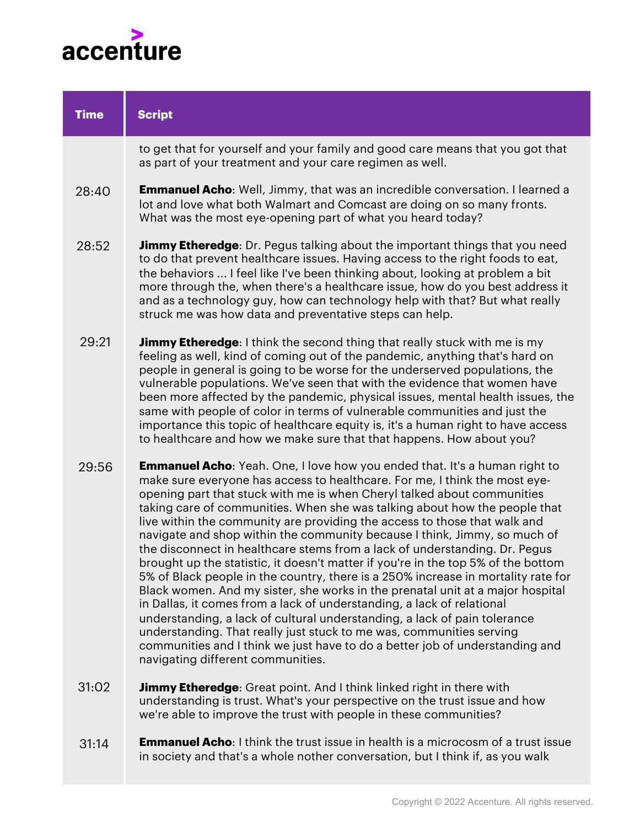

| <b>Time</b> | <b>Script</b>                                                                                                                                                                                                                                                                                                                                                                                                                                                                                                                                                                                                                                                                                                                                                                                                                                                                                                                                                                                                                                                                                                                                                                    |
|-------------|----------------------------------------------------------------------------------------------------------------------------------------------------------------------------------------------------------------------------------------------------------------------------------------------------------------------------------------------------------------------------------------------------------------------------------------------------------------------------------------------------------------------------------------------------------------------------------------------------------------------------------------------------------------------------------------------------------------------------------------------------------------------------------------------------------------------------------------------------------------------------------------------------------------------------------------------------------------------------------------------------------------------------------------------------------------------------------------------------------------------------------------------------------------------------------|
|             | to get that for yourself and your family and good care means that you got that<br>as part of your treatment and your care regimen as well.                                                                                                                                                                                                                                                                                                                                                                                                                                                                                                                                                                                                                                                                                                                                                                                                                                                                                                                                                                                                                                       |
| 28:40       | <b>Emmanuel Acho:</b> Well, Jimmy, that was an incredible conversation. I learned a<br>lot and love what both Walmart and Comcast are doing on so many fronts.<br>What was the most eye-opening part of what you heard today?                                                                                                                                                                                                                                                                                                                                                                                                                                                                                                                                                                                                                                                                                                                                                                                                                                                                                                                                                    |
| 28:52       | <b>Jimmy Etheredge:</b> Dr. Pegus talking about the important things that you need<br>to do that prevent healthcare issues. Having access to the right foods to eat,<br>the behaviors  I feel like I've been thinking about, looking at problem a bit<br>more through the, when there's a healthcare issue, how do you best address it<br>and as a technology guy, how can technology help with that? But what really<br>struck me was how data and preventative steps can help.                                                                                                                                                                                                                                                                                                                                                                                                                                                                                                                                                                                                                                                                                                 |
| 29:21       | <b>Jimmy Etheredge:</b> I think the second thing that really stuck with me is my<br>feeling as well, kind of coming out of the pandemic, anything that's hard on<br>people in general is going to be worse for the underserved populations, the<br>vulnerable populations. We've seen that with the evidence that women have<br>been more affected by the pandemic, physical issues, mental health issues, the<br>same with people of color in terms of vulnerable communities and just the<br>importance this topic of healthcare equity is, it's a human right to have access<br>to healthcare and how we make sure that that happens. How about you?                                                                                                                                                                                                                                                                                                                                                                                                                                                                                                                          |
| 29:56       | <b>Emmanuel Acho:</b> Yeah. One, I love how you ended that. It's a human right to<br>make sure everyone has access to healthcare. For me, I think the most eye-<br>opening part that stuck with me is when Cheryl talked about communities<br>taking care of communities. When she was talking about how the people that<br>live within the community are providing the access to those that walk and<br>navigate and shop within the community because I think, Jimmy, so much of<br>the disconnect in healthcare stems from a lack of understanding. Dr. Pegus<br>brought up the statistic, it doesn't matter if you're in the top 5% of the bottom<br>5% of Black people in the country, there is a 250% increase in mortality rate for<br>Black women. And my sister, she works in the prenatal unit at a major hospital<br>in Dallas, it comes from a lack of understanding, a lack of relational<br>understanding, a lack of cultural understanding, a lack of pain tolerance<br>understanding. That really just stuck to me was, communities serving<br>communities and I think we just have to do a better job of understanding and<br>navigating different communities. |
| 31:02       | <b>Jimmy Etheredge:</b> Great point. And I think linked right in there with<br>understanding is trust. What's your perspective on the trust issue and how                                                                                                                                                                                                                                                                                                                                                                                                                                                                                                                                                                                                                                                                                                                                                                                                                                                                                                                                                                                                                        |

**Emmanuel Acho**: I think the trust issue in health is a microcosm of a trust issue in society and that's a whole nother conversation, but I think if, as you walk 31:14

we're able to improve the trust with people in these communities?